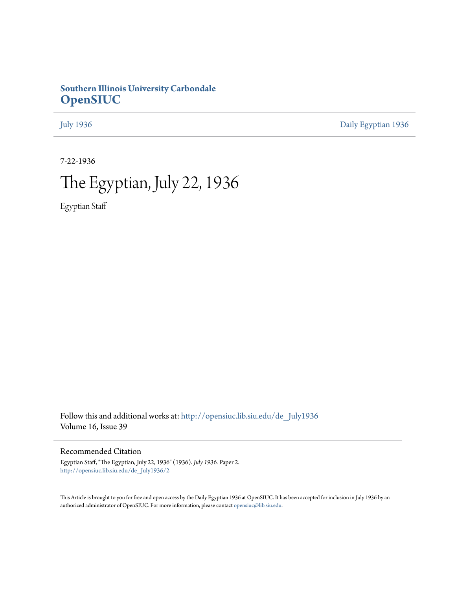## **Southern Illinois University Carbondale [OpenSIUC](http://opensiuc.lib.siu.edu?utm_source=opensiuc.lib.siu.edu%2Fde_July1936%2F2&utm_medium=PDF&utm_campaign=PDFCoverPages)**

[July 1936](http://opensiuc.lib.siu.edu/de_July1936?utm_source=opensiuc.lib.siu.edu%2Fde_July1936%2F2&utm_medium=PDF&utm_campaign=PDFCoverPages) [Daily Egyptian 1936](http://opensiuc.lib.siu.edu/de_1936?utm_source=opensiuc.lib.siu.edu%2Fde_July1936%2F2&utm_medium=PDF&utm_campaign=PDFCoverPages)

7-22-1936

# The Egyptian, July 22, 1936

Egyptian Staff

Follow this and additional works at: [http://opensiuc.lib.siu.edu/de\\_July1936](http://opensiuc.lib.siu.edu/de_July1936?utm_source=opensiuc.lib.siu.edu%2Fde_July1936%2F2&utm_medium=PDF&utm_campaign=PDFCoverPages) Volume 16, Issue 39

## Recommended Citation

Egyptian Staff, "The Egyptian, July 22, 1936" (1936). *July 1936.* Paper 2. [http://opensiuc.lib.siu.edu/de\\_July1936/2](http://opensiuc.lib.siu.edu/de_July1936/2?utm_source=opensiuc.lib.siu.edu%2Fde_July1936%2F2&utm_medium=PDF&utm_campaign=PDFCoverPages)

This Article is brought to you for free and open access by the Daily Egyptian 1936 at OpenSIUC. It has been accepted for inclusion in July 1936 by an authorized administrator of OpenSIUC. For more information, please contact [opensiuc@lib.siu.edu](mailto:opensiuc@lib.siu.edu).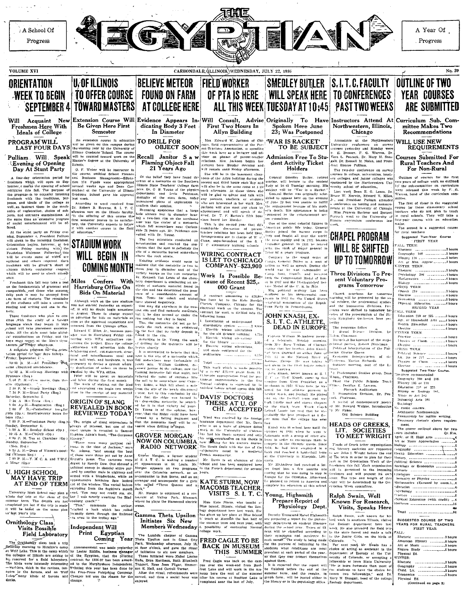

**WEEK TO BEGIN** SEPTEMBER 4

Will New Acquaint Freshmen Here With Ideals of College PROGRAM WILL

**LAST FOUR DAYS** Pulliam Will Speak **Evening of Opening** 

Day At Stunt Party A four-day orientation period for freshmen which will open on Sep-<br>tember 4 marks the opening of school

ectivities this fail. The purpose of pertiplies this fail. The purpose of<br>the program is to acquaint incoming<br>freshmen with the traditions, purposes, and detail of the college and<br>well\_as instruct them in the mech-<br>proge, and detailed of college and<br>gets, and social entertainment will be offeren.

According to the standard party on Friday eventually several property of President Pullians will speak to the incoming freehmen. will speak to the incoming resolution.<br>Griender Friday morning with the<br>Freshman Welcome. Following this Freshmann Western of which are put the events some of which are<br>epident and others required. Each incolmen will be given a stated of<br>sixteen these containing coupons<br>sixteen theses containing coupons<br>which will be used to uhce.

Freshmen this fall may take a test Freehusen this fall may take a test<br>composition, and those who success,<br>composition, and those who success,<br>ruly pass it may be accused from<br>the test may be accused from<br>the test may be accurate of the students will take a torte.

Those freshmen who plan to con Those treatment who plan to con-<br>triangle with the study of a forcing language which they becaus in high<br>performal than the planet term in high performal to the planet term of<br>the study of a form of the string and the stan

A complete private main the orientation<br>tation period for some days follows.<br>Friday, September 4:

come (Required attendance).

10:30 A. M.-Group Meetings 10:30  $\alpha$ ,  $\alpha$ ,  $\alpha$ ,  $\beta$ ,  $\beta$  and  $\beta$ ,  $\beta$  and  $\beta$ ,  $\beta$  and  $\beta$ ,  $\beta$  and  $\beta$ 

atre (Optional).<br>  $\therefore$  30 P. M.-Stroup Meetings (Reg.)<br>
7.30 P. M.-Stuat Party (Reg.)<br>
Saturday. September 5.<br>  $\frac{7.30}{7.30}$  A. M.-Trista (Req.)<br>
7.30 A. M.-Trista (Reg.)<br>
7.30 A. M.-Terastration (Reg.)<br>
9.00 P. M.-Pan

boys (Op.) уя (Ор.:<br>7:00 Р. М.—Freshman Party (Reg.)

Sunday, September 6;<br>
5:30 A. M.-Sunday School (Op.) 10:45 A. M.-Church (Op.)

100 P. M. Ten at Churches (Op.)<br>Monday, September 7:<br>(Meh. Reg.)<br>2004 M. M. Dean of Women's meet-<br>2004 M. M. Dean of Women's meet-

A Mixer (Op.)

## U. HIGH SCHOOL

Taiwersity High School may plan a <sup>12</sup>x20-dine from the furtility is most<br>the sine of the clear of the clear of the clear of the clear of the clear<br>simulation of the same plane of the clear of the clear of the state<br>in th

## Ornithology Class Visits Possible Field Laboratory

Ornithology class took a trip The Cyllbodory class took a trip and a particular momentum of the Section of the Cylledge and the Section of the Section of the Section of the Section of the Section of the Section of the Section of the Section of the Sec

Extension Course Will Evidence Appears In-Be Given Here First dicating Body 3 Feet Semester

AT COLLEGE HERE

In Diameter

Flaming Object Fall<br>21 Years Ago

The two scientists conducted an investigation and reached the con-<br>investigation and reached the con-<br>investigation dat the spot is definitely the<br>site of a meteorite buried somewhere

TO DRILL FOR

**TOWARD MASTERS** 

An extension course in education (ii) he given on this campus during the coming year by the University of Illinois Graduate School. The course will be counted toward work on the Master's degree at the University of limota

O. F. Weber will be instructor in the course, entitled School Finance com Distances samatgement-manuel.<br>
Hon 150 Funds were appropriated<br>
several weeks ago and Dean Car-<br>
michael of the University of Himoir<br>
Graduate School gave his approval<br>
last week.

According to word received from<br>Dr. Robert B. Browne, S. I. T. C. print modern B. Evansne, S. I. T. C.<br>abundance are the Hillon's faculty.<br>"In the offering of this course the<br>first semaster proves to be satisfac-<br>toy, the Chievesity searest to follow<br>it with another course in the field<br>o

**STADIUM WORK** WILL BEGIN IN COMING MONTH Confers With Miles

Harrisburg Office On Bids On Material Although work on the new studium

From . Peats for column table place<br>that and independent the two-place based on any dig now the place of the column of the local place<br>but the main find metaorde materials, sometime that is the dig not be<br>the local to the and started yesterday as expected.<br>The and started yesterday as expected.<br>The August. Those in charge expect to advertise for bids on materials as

no are the approved requisitions are<br>soon as the approved requisitions are<br>third from the Chicago office.<br>Envarid V. Miles, Jr., business man-<br> $\frac{1}{2}$ <br>was in Barrisburg Friday conerning the project. Since the college continue the project. Since the college control and the since the formula and the collection of the collection of the time of the time of the time of the collection of the system where  $\mu$  is dependent of the vPA office

24000 will be spent on materials The work of staking out the lind

nd excavating can begin two weeks ORIGIN OF SLANG

**REVEALED IN BOOK** Dr Young is of the opinion, now (over, that the Ridge could have heen)<br>burned by a failing fragment and that the meteorite itself will be re-**REVIEWED TODAY** The origin of sing expressions is<br>always of interest, but one of the<br>most unique is revealed in Samuel<br>Hopkins Adam's book, "The Gorgeous

0:46 A. M.-Church (Op.)<br>  $\begin{array}{r} \text{1:0p}, \text{1:0p}, \text{1:0p}, \text{1:0p}, \text{1:0p}, \text{1:0p}, \text{1:0p}, \text{1:0p}, \text{1:0p}, \text{1:0p}, \text{1:0p}, \text{1:0p}, \text{1:0p}, \text{1:0p}, \text{1:0p}, \text{1:0p}, \text{1:0p}, \text{1:0p}, \text{1:0p}, \text{1:0p}, \text{1:0p}, \text{1:0p}, \text{1:0p}, \text{1$ 

extrading from the fugitive's mouth ack.<br>Mr. Morgan is employed at a res are storged to employed at a restaurant at Valley Park. Missouri

organ,

Gamma Theta Upsilon Initiates Six New Independent Will Print Egyptian

Members Wednesday Egyptian The Lambda chapter of Gamma<br>Coming Year Theta Upsilon met in Glant City

Will Consult, Advise First Two Hours In Allyn Building

Mrs. Edward W. Jackson of Chicago, field representative of the Par-<br>ent-Trachers Association, is spending **OBJECT SOON** his week here as a lecturer and ad-Recall Janitor Saw the vector fire is a recturer and any<br>relations. Mrs. Jackson began here<br>lectures here Mouday marning and<br>will remain until Friday afternoon. and

Of the belief they have found the crater of a meteorite on the Southern<br>Bilinois State Teachers' College farm<br>here. Dr. O B. Young of the physics 

Coming means of the optician the coming specific<br>the coming specific distribution of the coming term of the interfersion<br>side was the created of the northeast specific specific specific distribution<br>with the case of the c

IS LET TO CHICAGO

## Work Is Possible Because of Recent \$25,-

shown the rock strain.<br>
In the contribution of the method of the method of the product that the method of the<br>
Internet part in dimeter and of the<br>
transports have pear to dimeter and of the<br>
versions as the round method o  $[$   $[$   $]$   $[$   $]$   $[$   $]$   $[$   $]$   $[$   $]$   $[$   $]$   $[$   $]$   $[$   $]$   $[$   $]$   $[$   $]$   $[$   $[\\ \hline \centering \label{1} \vspace{0.10cm} \vspace{0.10cm} \vspace{0.10cm} \vspace{0.10cm} \vspace{0.10cm} \vspace{0.10cm} \vspace{0.10cm} \vspace{0.10cm} \vspace{0.10cm} \vspace{0.10cm} \vspace{0.10cm} \vspace{0.10cm$ ence of a considerable amount of<br>tron. Tests for cobalt and nickel

distributive system distributive system .........? 9.65<br>Electric wiring alterations

Found in the rink.<br>  $\alpha$ -counting for the weakending of the words of the counting for the matter<br>  $\alpha$ -counting for the matter of the state of the state of the state of<br>  $\alpha$ -counting to the state of the matter of the sta 

Word was reveived by the foreign

Capter Morgan. I former student Prench manuscript. In medieval Capter and the median of this capter of the median of the Spherance in St. Louis, Mr. Capter is an alumnos of this Morgan eppears on two programs, in the Prenc

of the called "Three Queens and a MACOMB TEACHER, VISITS S. I. T. C.

> Miss Kate Sturm, who taught a Blue Island, Illinois, visited the Zon logy department here last week, She<br>has given up her place at Blue Island

Thus given up her place at Blue Island<br>Li teach at Macombi the hast half of<br>the summer term and next year, with<br>a possibility of continuing Normal<br>college work.

FRED CAGLE TO BE

Fred Cagle was hack on the case. Surface them is provided that the report will risk of colorado, or according a contribution Reel. It is expected that the report will risk more forwards than mort of Calculation Reel. The bus over the week-end from Reel-<br>foot Lake and will work in the nu-<br>seum here the rest of the summer

Originally To Hav<br>Spoken Here June<br>23; Was Postponed To Have

ALL THIS WEEK TUESDAY AT 10:45

'WAR IS RACKET' TO BE SUBJECT **Admission Free To Stu** dent Activity Ticket

## Holders

size will be in the busement class.<br>
Corneal Smediey Butler, rettred 1980s of the Allyn building daring the given specific second and third hours each day and startine, will be<br>ture to the smealed second and the same room

Contains to the search of the search of the search of the search of the search of the search of the search of the search of the search of the search of the search of the search of the search of the search of the search of

## S. I. T. C. ATHLETE DEAD IN EUROPE

Captain William McAndrew recei Captain Winami McAndrew received at telegrain. Monday incenting.<br>Fom Mrs. Rose Youkus, of Chicago.<br>Lating that her brother, John Knash. and been drowined on either June or Doums. Groupe spacent and the Nietnen River, at the Economic Interpretation, of the Steinen River, at the Conditional Research of the Steinen River at the Condition of the Line of the Li of swim in the river before return

iset swim in the Divid before relucionships<br>bet to America.<br>John Khash, better known at S. I.<br>John Khash, better known at S. I.<br>compute from West Frankfort as a<br>poled for his addeded progress in<br>Leving track and football R leving track, and football. He played igh littells mun and discuss theore-The autore man and caseus thrower<br>Lebard Lausle has sud that he was<br>Lebard Lausle has sud that he was<br>Lebard Lausle has sud that he was<br>the man that the college has over

- Whose was in management and an<br>-ummer of 1934, whom he went that<br>fathuania with a group of other ata<br>letes in order to encourage them t Now Hering for this decision is greater (simpler in the otherapic factors of the decision of the state of the property in the conductive model in a member of the property in Euclidean state of the state of the state of th

ter from him a few months accounting that he was going to stay in Starope for the Olympics. Afterward labore to the visitings. Attenuate

## Young, Highsmith Prepare Report of Physiology Dept.

Decothy Young and Mabel Highsmith From a countries of the property of the property of the property of the property of the property of the series of the series of the series will be classified according to olege work.<br>
The class will be classified according to<br> **ERED CAGLE TO BE**<br> **SUMMER** one and the purposes of indicative to<br> **ERED CAGLE TO BE**<br> **SUMMER** surface and the party of the party of the party of the space.<br>
THIS S

Instructors Attend At Curriculum Sub. Com-<br>mittee Makes Two Northwestern, Illinois, Chicago

**PAST TWO WEEKS** 

Attendants at the Northwestern Extrements at the royal server on survey<br>Corses yesterday and Monday were:<br>S. E. Boomer, F. G. Warren, Dr S. E. Boomet, F. G. Warten, D. Vera L. Peacock, Dr. Mary M. Stea.<br>gall. Dr. Russell M. Nolen, and President Roscoe Pulliam.

**Rural Teachers And** The two-day conference on survey Outlines of courses for the first<br>two years of college work as outlined<br>by the sub-committee on curriculum<br>were released this week by F. O.<br>Warren, head of the curriculum com-<br>mittee. courses in college, universities, teach

consess in conses, unversicies, team-<br>ers colleges, and junior colleges was<br>sponsored by the Northwestern Uni-nittee real for those elementary school<br>touchers who do not plan to teach<br>in tural schools. They will take a<br>four-year course with an education

| CHAPEL PROGRAM<br>WILL BE SHIFTED<br>UP TO TOMORROW                                                                                                                                                                                                                                | Sustested Two-Year Course<br><b>FIRST YEAR</b><br>FALL TERM:<br>Rhetoric 3 hours<br>Art or Mus. Apprec3 hours<br><b>WINTER TERM.</b>                                                                            |
|------------------------------------------------------------------------------------------------------------------------------------------------------------------------------------------------------------------------------------------------------------------------------------|-----------------------------------------------------------------------------------------------------------------------------------------------------------------------------------------------------------------|
| Three Divisions To Pre-<br>sent Voluntary Pro-<br>grams Tomorrow                                                                                                                                                                                                                   | Psychology 206 4 hours<br>SPRING TERM.                                                                                                                                                                          |
| Chapel programs for temorrow<br>morning will be presented by the so-<br>al science, the professional studies<br>and the humanities divisions, Pro-<br>crams were shifted to tomorrow be-<br>cause of the presentation of the Illi-<br>tonis Symphony Orchestra here yes-<br>terday | Speech 210 3 hours<br>Economics  5 hours<br>Physical Education 4 hours<br>SECOND YEAR<br><b><i>UALL TERM:</i></b><br>Education 210 or 225 3 hours<br>Age, or Household Arts  4 hours<br>Health Education  hours |
| The programs follow<br>×.<br>1 Social Science Division. De WINTER TERM.<br>Noben, Chairman.                                                                                                                                                                                        | Elective 4 hours<br>There are forced to the con-<br>the contract of the second contract of                                                                                                                      |

Jon Chairman solen, Charman.<br>- Historical Background of the major<br>- Elistorical parties, Robert Dintelman<br>- Political Interpretation of the Plat<br>orms. Grorge Queen

.<br>Frans ' 2. Professional Studies group, Deal

Chairman A recital of contemporary noete

oy Mr. Howard Widger, Introduction raner.<br>Old Science Bullding

## **HEADS OF GREEKS,** LIT. SOCIETIES

TO MEET WRIGHT l'ends of Groek letter organization and literary societies are requested<br>to see John J. Wright before the end<br>of The term in order to plan for their ert in the Orientation Week of the Fort in the Orientation Week of the<br>Freekinn this fall "Each organization"<br>will be presented to the theoring<br>freekinnen and will present its own<br>standard of this type and length of this<br>standard by the Orientation Week co

### Ralph Swain, Well Known For Research, Visits, Speaks Here

Ralph Swain, well known for his .<br>bird work in southern Illinois, visited

indicates the southern lilling, white<br>
it is solution to have the last week. He also attended the field trip<br>
to the state forest and made a talk<br>
to the state forest and made a talk<br>
to the state forest and made a talk<br>

iertives recommended:<br>Geography 200 and 205 Geography 200 and 20<br>
History 105 or 111<br>
Education 210 or 255.<br>
Education 210 or 255.<br>
Botany or Zeology 19<br>
Music or Act 105<br>
Industrial Arts 201 Suciology credit courses Arithmetic fundamentals Fennianslip for legible writing Necessary chetoric above require ment,<br>ment,<br>The course outlined above for two<br>ears includes:<br>Qr. Rrs.

ARE SUBMITTED

Recommendations

Courses Submitted For

For Non-Rural

ajor.<br>The second is a suggested course<br>r raval teachers.

**REQUIREMENTS** 

WILL USE NEW

The first of these is the

major

| Art or Music Appreciation             |
|---------------------------------------|
|                                       |
|                                       |
|                                       |
|                                       |
|                                       |
| Sociology or Economics                |
|                                       |
|                                       |
|                                       |
| Mathematics (Excused by exam.) 4      |
|                                       |
|                                       |
| Practice information and the Practice |
| "bysical Education (with credit) __4  |
| Electives 16                          |
| en i                                  |
| Total 86                              |
|                                       |
| SUGGESTED COURSE OF TWO               |
|                                       |

YEARS FOR RURAL TEACH

| FIRST TEAR          |  |
|---------------------|--|
| ALL-                |  |
| Rhetoric 3 hours    |  |
|                     |  |
| Art or Music  hours |  |
|                     |  |
| Physical Ed.        |  |
| 'INTER:             |  |
|                     |  |
|                     |  |
| Child. Lit. 3 hours |  |
|                     |  |
| Physical Ed.        |  |

(Continued on page 3)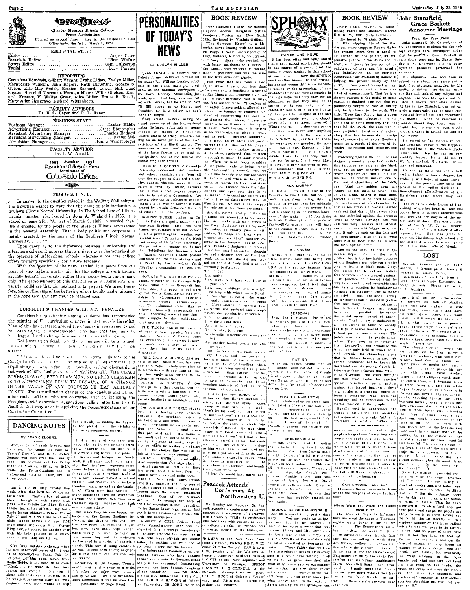| raze z |                                                                                                                                                         |
|--------|---------------------------------------------------------------------------------------------------------------------------------------------------------|
|        | <b>tecy Start</b>                                                                                                                                       |
|        | Charter Member Illinois College<br>Press Association<br>Entered as second class matter in the Carbondale Post<br>Office under the Act of March 3, 1879. |
|        | EDIT STAL STAT<br>Jasper Cross<br>Associate Editor                                                                                                      |

Valkerson .....................Glen Fulkerson Sports Edito: Typist .......  $\frac{1}{2}$  =  $\frac{1}{2}$  =  $\frac{1}{2}$  =  $\frac{1}{2}$  =  $\frac{1}{2}$  =  $\frac{1}{2}$  =  $\frac{1}{2}$  =  $\frac{1}{2}$  =  $\frac{1}{2}$  =  $\frac{1}{2}$  =  $\frac{1}{2}$  =  $\frac{1}{2}$  =  $\frac{1}{2}$  =  $\frac{1}{2}$  =  $\frac{1}{2}$  =  $\frac{1}{2}$  =  $\frac{1}{2}$  =  $\frac{1}{2}$  =  $\frac{1$ . **. . . . . .** . . .

Genevieve Edmonds, Gibert Vaught, Frahk Elders, Evelyn Miller, Marguerie Wilhelm, John Rogers, Euth Ditterline, George E. Aught, Supern, Ella May, Smith, Bernice Barnard, Lowell Hill, June Outern, Navyder, Herwick Shyder, **REPORTERS** 

FACULTY ADVISORS<br>Dr. R. L. Beyer and R. D. Faner **BUSINESS-STAFF** 

Lester Riddle **Rusiness Manager** Business manager<br>Advertising Manager<br>Assistant Advertising Manager<br>Assistant Advertising Manager. Jesse Stonecipher Charles Badgett...<br>Frank Sisk 

FACULTY ADVISOR<br>Dr. T. W. Abbott

1935 Member 1936<br>Associated Collegiate Press<br>Distributor of Collegiale Digest

 $\overline{\mathbb{C}}$ 

### THIS IS S. I. N. U.

In answer to the question raised in the Wailing Wall column, the Egyptian wishes to state that the name of this institution is<br>Souhern Dinois Normal University. In The School Law of Illinois circular number 284, issued by John A, Wieland in 1935, it is<br>stated on page 251: "An act of March 9, 1869, is worded thus: "Be it enacted by the people of the State of Illinois represented<br>in the General Assembly: That a body politic and corporate is hereby created, by the name of the Southern Illinois Normal University. . . . .

Upon query as to the difference between a university and s cachers college, it appears that a university is characterized by<br>the presence of professional schools, whereas a teachers college offers training specifically for future teachers. The contract of the disc with the question of the name settled, it appears from our

not one will be a worthy aim for this college to work toward<br>actually being a University, rather than merely being one in name only. The establishment of this institution as a liberal arts university would see that aim realized in large part. We urge, therefore, the continuance of the bettering of our faculty and equipment in the hope that this aim may be realized soon.

## CURRICULUM CHANGES WILL NOT PENALIZE

Considerable questioning among students has accompanied<br>the printing of <sup>17</sup> curriculum changes in last week's Egyptian. Mast of this has centered around the changes in requirements and been voiced by unperclassmes, who fear that they may be licapped by the change in some of the contribution subjects.

Not knowing in detail how the  $\omega$  changes will be arranged,<br>can only up to from  $\tau = 1$  acults  $T_2$  , this of July 13, which can only up to from a states:

"I' is understoon. I believe their the recomple dations of the This data above, the set of the separate in the contribution of  $\epsilon$ , the set of the set of the set of the set of the set of the set of the set of the set of the set of the set of the set of the set of the set of the set SCREED FOR CITERAL LIFE IS TO SUPPER THE VALUE OF A CHANGE IS TO SUPPER TANY PENALTY BECAUSE OF A CHANGE IN THE VALUE OF ANY COURSES HE HAS ALREADY TAKEN. The committee in charge of the schedule and all administrative officers who are concerned with it, including the President, will appreciate suggestions calling attention to difficulties that may arise in applying the recommendations of the<br>Curriculum Committee."

## DANCING NOTES | the had pleked up in the vicinity of

PERSONALITIES OF TODAY'S **NEWS** By EVELYN MILLER

J.W. ARNOLD, a veteran North Lakota farmer, delivered a most bit-

of the Union party for presiat the national convention of anna. dellaria in altional convention of Farm Holdiay Association last k Arnold had long been associations.<br>With Lemke, but he said in part, awith Lemke, but he said in part, and the said in part, and ghilin, he is a fellow we

ant to support." ant to support.<br>MISE ANNA DAMON, acting naconal secretary of the International<br>Reform Defense, submitted a memo-Labor Derense, abbinitied a memo-<br>random to Homer S. Commings,<br>United States Attorney Genueral, cal-<br>ling for an investigation of the terror<br>activities of the Black Legion. The memorandum was based on a study of the facts thrown up by local in-<br>vestigations, and of the federal law

**Continuous**, and of the federal law. In tasking to make the look interest.<br>
In the signal subporting such actions, the control law. When we heat Popey, specifies<br>
outbording such controls of the young swedin as being "st enyone step out in defense of popular<br>rights and he will be labeled a Com-

sents and the bar on the car commist by certain cromosome ...<br>educator told the teachers. ROBERT BURKE, student at Co. NOBERT BURER, student at Constantine<br>Inminis Calversity grad a leader in the<br>American Student Union, has been<br>chand readmittance next fail because<br>in level a protest against sending representatives of Columbia to the 100th he protest was grounded on the fact that Heidelburg has become a tool f Nazism. Vicorous student protect In Automa, Algorous student protest<br>astigated by Columble students and<br>enforced by the American Youth<br>'ongress is demanding his reinstate wangareu u)<br>Duufareed by

To the their that Mrs. Jackson thought<br>she had a divere from he fract lus-<br>band, found that she did not have<br>and so she and Andy had a second<br>foremeng performed:<br>"Oh Andy!"<br>Old Andy!<br>Old Andy! HOWARD VINCENT O'RRIEY 460

> ily way. that the book is mot or

HOWARY TINCOST OTHERN, col-<br>unusist working on the Cheapse Dally<br>News, came out for Rosegvolt last<br>News, came the paper is published<br>by Col. Frank Knox, Republican, can<br>dirige for vice-president, O'Brien's How many men have you hang in difate for vice-president, observe a semi-state is stated that he shows allow a semi-stated that he believed Ronsevelt understands the result underlying issue of our time-

e a car moseven unuerstands the<br>treat underlying issue of our time—<br>"the struggle for the establishment purser, was perubarly appropriate<br>"Upe the auchor up, the struggle for the est The the anchor down. THE TANPA FLOGGERS Journal

THE TANPA FIGURES, convict-<br>
ord recently, have appealed for a new<br>
total, , , , , Nativ, s of Florida likink<br>
that even though the verse is in november of the kine<br>
that even their lime for the death of<br>
servo their lime ovmaker.

UERDINAND A. SILCOX, chief for ster of the United States, has been<br>ster of the United States, has been<br>ent to Europe to study tree planting th cultnection with dust control. En: upe has made great strides in the cience of reforestation,<br>
MAYOR LA GUARDIA of New<br>rork predicts that housing will be<br>cine exclusively a function of guy-<br>rament within twonty years, "with **Vork** 

private inudiords in mothbals in mu-

i protested said: "His house is

"The Gorgeous Hussy" by Samuel "The Gorgeous Hussy" by Samuel Hopkins Adams. Houghton Mifflin Hompany, Beston and New York, 1954. Reviewed by Virginia Spillor.<br>Company, Beston and New York, 1954. Reviewed by Virginia Spillor.<br>"The Gorgeous Hussey" is a

THE EGYPTIAN

**BOOK REVIEW** 

Clay, Webster, Randolph, Van Buret,

uisiance and abortion." Another ex-<br>ample is the doggeral that so infur<br>lated President Jackson; it referred<br>to the fact that Mrs. Juckson thought

NAMES AND NEWS

It has been often and aptly state<br>that a good school publication should<br>in the course of a year, print the name of every student in that scl name or every state and the last once the state of the critical control must captive in the state of the critical contract is to connect the passion of the state of the critical properties of the critical contract of the s the high hope that they may get as education so that they may be service to the community, .<br>.and in sarvice to the community, and method of their pockets. In spite of the fact<br>of their pockets. In spite of the fact<br>that these people aver can chapel,<br>never jelly in the cates, never-only<br>never jelly in the cates, never-on here who have never done anything hat study ti is the naranse **Paye set for myself**, and seem like to become a mere purveyor of scan to become a mere purveyor or scandal remember that ALL GREA<br>MEN HAD THEIR FAULTS...An<br>so it is with the SPHINX.

It just and ericket to give all the<br>publicity to Sue Crain, but we just can't refrain from putting this buy Washington!" we gain a new respect in your cars-Sue likes her midnight<br>admiration for those ancestors. swims, and she is not averse to a spon of canonic<br>grad back  $\sim$  from of the expansion<br>case of the night,  $\sim$  if you desire to<br>be the contribution of the relation of the control of the case of the<br>anisotic spans  $\sim$  is And the current poetry of the time<br>s almost as interesting as the sland. IS among is interesting as the shange of the book reads with such rimes as<br>This from "Pothouse Pex's Progress";<br>"So adept to qualify passion with<br>existence of the control of the state of the state<br>difference and absorbed a Bowles.

Many, many times has Yv Editor<br>Cross naughed long and londly and<br>toil of the causal of the CNE PER-<br>SON on the campas innounce from<br>the CNE PER-<br>But the rangings of the STHINX.<br>But the ninet,  $1$  would go on and<br>tell you

many escapades, but I feel that Four lifest make a wife  $\frac{1}{2}$  may escapables, but I for some far enough now.<br>How many weighten make a wife  $\frac{1}{2}$  is inserted on tablets. The some with which kines Rocklin is to find the one of the finite outlet po And it is necessary on radius of<br>that "He who langlis last<br>lest" Here's *j* hopnig. that<br>doesn't choose to laugh last!

(b) SPHINX just when it is that mon-<br>opolizes your thoughts  $\sim$  Sumer-<br>times it holds one way and sometimes<br>candidative (b). We don't know about<br>other people, but we're therefore grading.<br> $\sim$  105  $\sim$  105 besides at mak sonal fendings.

From the same Bachel Jacobian results of the same strength and the same Bachel Jacobian strength and same strength and same strength and same strength in the case of the range of the range of the same of the same of the s

Wednesday, July 22, 1936 **BOOK REVIEW** 

DEEP DARK RIVER, by Rober

DEEP DARK RIVER, by Robert<br>
Ryles: Farrar and Rinehart, Murry<br>
Hill, N. Y.; 1935, (City Library).<br>
Roviewed by Virginia Spiller<br>
In this strping tale of the Mis-<br>
In this strated more than a nord of<br>
Mass created more than

distinction; he has painted an im-

pressive nicture of the South and its

social conditions: he has nenned an

past"; he has proved himself a mas-<br>ter of expression and a descriptive<br>artist of unusual merit. That he is a

nee prejudice, the stream of melan-

haly that has herome the underly-

**Deptonting baninet the introversing** 

seek out that day in his career when

## John Stansfield, **Grace Boskett** Announce Marriage

From the Free Press From the Free Press,<br>John Sinsafield, Mt. Carnel, one of<br>the conspicuous students for the col-<br>lege camps here, amounced today<br>that he and Miss Grace Bosket of<br>linearity were married Easter Sun-<br>dury at St. Ceneviewe, Mo.

social constitutions. It has pensed on fluid  $\mathbf{r} \times \mathbf{r} \times \mathbf{r} \times \mathbf{r} \times \mathbf{r} \times \mathbf{r} \times \mathbf{r} \times \mathbf{r} \times \mathbf{r} \times \mathbf{r} \times \mathbf{r} \times \mathbf{r} \times \mathbf{r} \times \mathbf{r} \times \mathbf{r} \times \mathbf{r} \times \mathbf{r} \times \mathbf{r} \times \mathbf{r} \times \mathbf{r} \times \mathbf{r} \times \mathbf{r} \$ Mr. Signsfield, who has been<br>hood here about two years and half, first attracted attention by his ability to debate. He did not draw the line and tackled any subject and artist of unuaus metri. That he is a the line had tackled any subject and<br>assesses storent of the social sciences suppose. He was have a sincere storent to the docted and<br>respect to the state in several first class charge When he marched in known student in school, on and of he campus.<br>The campus holy that has become the underly-<br>ng characteristic of every Southern<br>negro as a result of derades of in-<br>instice, oppression and death-dealing<br>work.

He served on the student connect we served on me statements you to and presudent of the "shodern Problem"<br>Ions, "club, Here he was an out-<br>standing leader. He is the son of<br>W. A. Stansfield, Mt. Carmel sales-<br>man and merchant.

and a medically and a half tradition later and a half tradition before he has a degree, but probably will finish a since university. At the present time he is emitted property as land option clerk in the Re-settlement administration at the Harrisburg office where they luve.

ve.<br>The bride is widely known at Har-Ine orde is widely known at Har-<br>risburg, where her home is. She was<br>active here in asveral organizations<br>and received her degree at the coltege here in June. She was a menjor that the Y. W. C. A., "Modern<br>Problems club" and a leader in other From ma cluste and a teacher in other<br>formalizations. She was graduated<br>from the Harrisburg high school and<br>has a wide circle of friends.

## LOST

Six-sided fountain pen, with hance

Son-stift Contain pen, with name<br>Anthony Pechenino on it. Reward it<br>returned to Eugene Parks,<br>Merchants of Death by Papi Lince<br>Next, Fook is State Extension Lince<br>Pray, Property, Please return to<br>C. H. Jennings,

pantry is all too bare in the winter pastry is all too bare in the worter, the latter of the farmers will take of planting in<br>the farmers will take of planting in the strength and passing none cattle and base<br>and passing none cattle and base four when appling

Firebulls higher hetter than this thousands of years ago."<br>The clienteder of the people will not charge, has the South is yet a<br>not charge, has the is South is yet a<br>force to be reckoned with and a rich,<br>tutiless land that success and that its people love<br>Righte gives his genius for description full play as he paints his pic-<br>tion full play as he paints his pic- $1000-1001$  play as the paints has pic-<br> $1000-1001$  matrix as the pairs of the  $\lambda$  than<br> $\lambda$  through the comparison of the centron rows, with breather<br>and the centron rows, with breather of price in the centron state in<br> monotony and an expression is massive interesting the distribution of monotony and an experiment of the property like interesting the content of the bottlest and mustakes (less of trees, never quite achieving the monotonic repulsive value becomes requirest values and the moment is compared and smoothly in local phase of the energy compared in the compared state in the case of the case of the case of the case with the state of the case with the compared the compare

Bighthe and the symptom of the symptom and the symptom of the symptom conduction of the symptom conduction of the symptom point of the symptom between the symptom of the symptom of the symptom of the symptom of the symptom For term. In nature. Thus the charge of the state performance of a state points and does not like weather the state of the state of the state of the state of the state of the state of the state of the state of the state o

serving it.

The sealing is a pap.<br>White sails fluttering out across the bare shas nurtering our across the<br>bay<br>And another toolish tass in the fam. but the book is not made up on<br>drely of slang and poor poetry, it<br>describes many of the customs of<br>teat trace including bundling which **PATTER** 

Clay, Webster, Rundolph, Van Buren, and and Andy Jackson-who credited her with being "as chaste as a virgin"-<br>with being "as chaste as a virgin"--<br>the woman who wrecked a cabinet,<br>made a president and was the wife<br>of the f or the that american group.<br>
This book that has been a best reference it came out less than<br>
references ago, is handled in a clever,<br>
rether dippant but engaging grype. As<br>
to historical accuracy, that is lack-<br>
to histori ng. The author states. "I confoss at he outset, I have seldom allowed the

the outset, I agve selocan allowed the<br>calendar to hamper or constrain ne-<br>Short of resurrecting the dead or<br>anticipating the unborn, I have as-<br>sunsed a broad license in the majter<br>of dates " Nevertheless, it is written a dates reconquess, it is written na as such it surceeds admirably Figure as such it surceeds admirably.<br>It is made up of ideas and gossip-<br>current at that time and Mr. Adams<br>vouches for the absolute accuracy<br>of the stange appliced, This by tesel<br>is the stange appliced, This by tesel<br>ing.

ASK MURPHY!

HI. CROSS!

Protesting against the inhibitant and<br>ithogical element in man that infilers<br>this injustice not only on the black<br>race but on any minority group on<br>which prejudice can find a hold, Ryee has the woman lawyer, one of

## ive central characters of the book,<br>ay: "And how seldom men are<br>udged on the facts of their lives.<br>Tyou would attack a man most<br>prefluily, there is no need to study<br>the weaknesses of his character, for that is too arduous a process. Rather

see out tant day in this career when<br>the has offended against the common<br>level of society. Perhaps you will<br>call him Tory, Hessian, Red. atheist.<br>communatiat, socialist, nigger or Chris-<br>tian. It only depends on the date a the geographical location as to what<br>label will be most effective in rousing men against him."

and as she sees the trial of the<br>acused negro mete out the mock<br>usities that is the inevitable outcome .<br>of any Southern trial wherein a whit-

.<br>jury is trying a black man. Mary<br>the lawyer for the defense, indict the lawyer for the defense, indicts<br>this outworn and mailreated system:<br>"The practice of criminal trial by<br>"The practice of criminal trial by<br>sty dare to question its fundamental<br>strange strained in the statemental<br>straine enturies it has functioned largely In the entropicture of essential justice<br>final like many other institutions it<br>has virified changes that would<br>have may other instead to the change<br>like may offer instead of anato-<br>tonistic Trail by the total doubled<br>by co Wenk people from a monarch. The

The mean temperature of the property of the property of the property of the property of the property. But the property of the state of the state of the state of the state of the state of the state of the state of the stat monotony and an expression to the morbid passion of the people."

Survive such freatment, and all the<br>people who graduate from a four year<br>contract here ought to be able to quali-<br> $(3)$  quite easily for the Olympic Tain<br>ifs quite easily for the Olympic Tain<br>meter walk. Think of that! A m

into the state of the scheme of the state of the state of the state of the state of the state of the state of the state of the state of the state of the state of the state of the state of the state of the state of the stat

**PR. BROADUS MITCHELL of John** 

The BROADUS MITCHELL of John<br>Hepkins is having some domestic<br>difficulty. His neutralnos object to<br>bis building a four-roun bungalow or<br>is building a four-roun bungalow or<br>a carbinate substraint residential sec-<br>too. The lo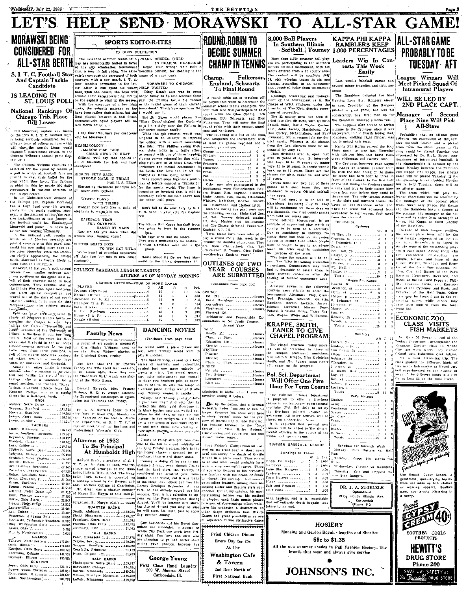

 $5.251$ FULL BACKS<br>
Edite, Minnesota (1) Tangora, Northwestern ............173.885 Fungara, Northwestern 1111.532<br>Cerk, Minnesota 1111.532<br>Karcher, Ohio State 1111.532<br>Forthaan, Colgate 1111.734<br>Crybosk, Hinois 1111.111.735<br>Crybosk, Hotel 1111.111.111.1125.584

Lewis, Ohio U.

Papieh, Northwestern

GUARDS

Inwin, Colgate . ............... 61.763

1478 [179] [179] [179] [179] [179] [179] [179] [179] [179] [179] [179] [179] [179] [179] [179] [179] [179] [179] [179] [179] [179] [179] [179] [179] [179] [179] [179] [179] [179] [179] [179] [179] [179] [179] [179] [179] [

**George Young** First Class Hand Laundry 209 W. Monroe Street<br>Carbondale, Ill.

Guy Lombardo and his Royal Car

Guy Lombardo and his Royal Can-<br>adians are scheduled to appear at<br>White City Pack one week from Pri-<br>are planning to go lad girls who<br>are planning to go lad better start<br>saving your peanies, because the

Coutainding feature was his method of playing each little musto phrase in sort of consenting offer which care its orchestra a distinction no other dance orchestra had. Orthite is sole in the start possibilities as one of \*\*\*\*\*\*\*\*\*\*\*\*\*\*\*\*\*\*\* Fried Chicken Dinner Every Day for 25c

At The Washington Cafe & Tavern 2nd Door North of

JOHNSON'S INC. First National Bank

**HOSIERY** Munsing and Gordon Regular lengths and Shorties 59c to \$1.35 All the new summer shades in Pull Fashion Hosiery, The

brands that wear and always give service

SOOTHES COOLS

**PROTECTS** 

**HEWITT'S** 

**DRUG STORE** 

Phone 200

SAVE with SAFETY at<br>The Renall DRUG STORE